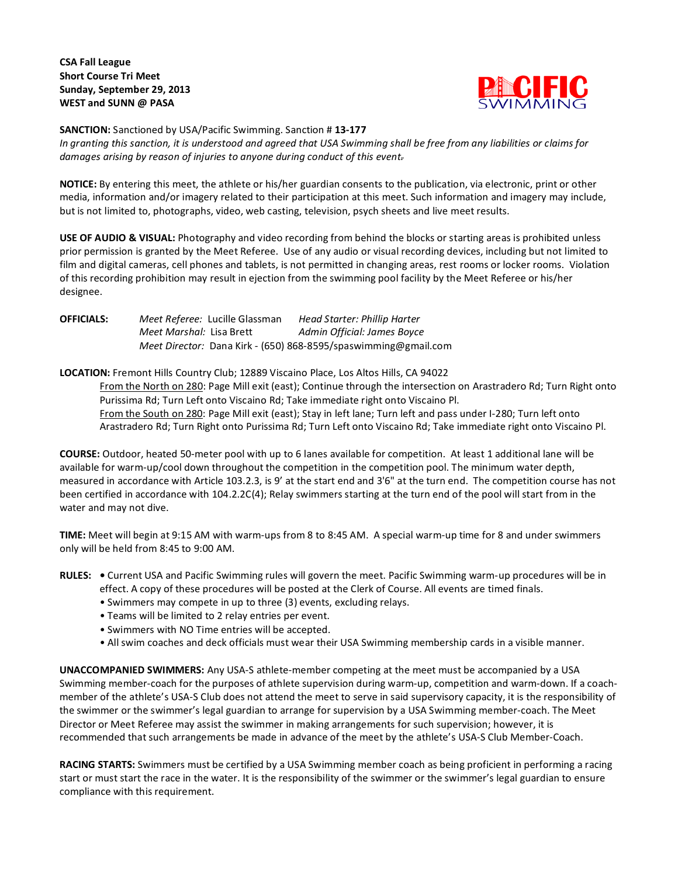# **CSA Fall League Short Course Tri Meet Sunday, September 29, 2013 WEST and SUNN @ PASA**



#### **SANCTION:** Sanctioned by USA/Pacific Swimming. Sanction # **13-177**

*In granting this sanction, it is understood and agreed that USA Swimming shall be free from any liabilities or claims for damages arising by reason of injuries to anyone during conduct of this event.*

**NOTICE:** By entering this meet, the athlete or his/her guardian consents to the publication, via electronic, print or other media, information and/or imagery related to their participation at this meet. Such information and imagery may include, but is not limited to, photographs, video, web casting, television, psych sheets and live meet results.

**USE OF AUDIO & VISUAL:** Photography and video recording from behind the blocks or starting areas is prohibited unless prior permission is granted by the Meet Referee. Use of any audio or visual recording devices, including but not limited to film and digital cameras, cell phones and tablets, is not permitted in changing areas, rest rooms or locker rooms. Violation of this recording prohibition may result in ejection from the swimming pool facility by the Meet Referee or his/her designee.

**OFFICIALS:** *Meet Referee:* Lucille Glassman *Head Starter: Phillip Harter Meet Marshal:* Lisa Brett *Admin Official: James Boyce Meet Director:* Dana Kirk - (650) 868-8595/spaswimming@gmail.com

### **LOCATION:** Fremont Hills Country Club; 12889 Viscaino Place, Los Altos Hills, CA 94022

From the North on 280: Page Mill exit (east); Continue through the intersection on Arastradero Rd; Turn Right onto Purissima Rd; Turn Left onto Viscaino Rd; Take immediate right onto Viscaino Pl. From the South on 280: Page Mill exit (east); Stay in left lane; Turn left and pass under I-280; Turn left onto Arastradero Rd; Turn Right onto Purissima Rd; Turn Left onto Viscaino Rd; Take immediate right onto Viscaino Pl.

**COURSE:** Outdoor, heated 50-meter pool with up to 6 lanes available for competition. At least 1 additional lane will be available for warm-up/cool down throughout the competition in the competition pool. The minimum water depth, measured in accordance with Article 103.2.3, is 9' at the start end and 3'6" at the turn end. The competition course has not been certified in accordance with 104.2.2C(4); Relay swimmers starting at the turn end of the pool will start from in the water and may not dive.

**TIME:** Meet will begin at 9:15 AM with warm-ups from 8 to 8:45 AM. A special warm-up time for 8 and under swimmers only will be held from 8:45 to 9:00 AM.

## **RULES: •** Current USA and Pacific Swimming rules will govern the meet. Pacific Swimming warm-up procedures will be in effect. A copy of these procedures will be posted at the Clerk of Course. All events are timed finals.

- Swimmers may compete in up to three (3) events, excluding relays.
- Teams will be limited to 2 relay entries per event.
- Swimmers with NO Time entries will be accepted.
- All swim coaches and deck officials must wear their USA Swimming membership cards in a visible manner.

**UNACCOMPANIED SWIMMERS:** Any USA-S athlete-member competing at the meet must be accompanied by a USA Swimming member-coach for the purposes of athlete supervision during warm-up, competition and warm-down. If a coachmember of the athlete's USA-S Club does not attend the meet to serve in said supervisory capacity, it is the responsibility of the swimmer or the swimmer's legal guardian to arrange for supervision by a USA Swimming member-coach. The Meet Director or Meet Referee may assist the swimmer in making arrangements for such supervision; however, it is recommended that such arrangements be made in advance of the meet by the athlete's USA-S Club Member-Coach.

**RACING STARTS:** Swimmers must be certified by a USA Swimming member coach as being proficient in performing a racing start or must start the race in the water. It is the responsibility of the swimmer or the swimmer's legal guardian to ensure compliance with this requirement.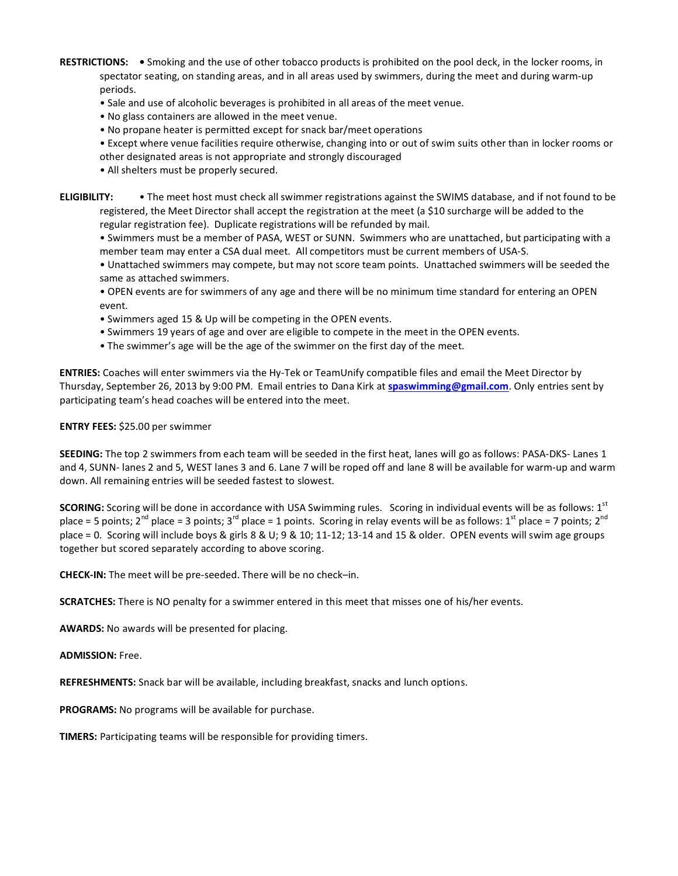- **RESTRICTIONS:** Smoking and the use of other tobacco products is prohibited on the pool deck, in the locker rooms, in spectator seating, on standing areas, and in all areas used by swimmers, during the meet and during warm-up periods.
	- Sale and use of alcoholic beverages is prohibited in all areas of the meet venue.
	- No glass containers are allowed in the meet venue.
	- No propane heater is permitted except for snack bar/meet operations
	- Except where venue facilities require otherwise, changing into or out of swim suits other than in locker rooms or other designated areas is not appropriate and strongly discouraged
	- All shelters must be properly secured.

**ELIGIBILITY:** • The meet host must check all swimmer registrations against the SWIMS database, and if not found to be registered, the Meet Director shall accept the registration at the meet (a \$10 surcharge will be added to the regular registration fee). Duplicate registrations will be refunded by mail.

• Swimmers must be a member of PASA, WEST or SUNN. Swimmers who are unattached, but participating with a member team may enter a CSA dual meet. All competitors must be current members of USA-S.

• Unattached swimmers may compete, but may not score team points. Unattached swimmers will be seeded the same as attached swimmers.

- OPEN events are for swimmers of any age and there will be no minimum time standard for entering an OPEN event.
- Swimmers aged 15 & Up will be competing in the OPEN events.
- Swimmers 19 years of age and over are eligible to compete in the meet in the OPEN events.
- The swimmer's age will be the age of the swimmer on the first day of the meet.

**ENTRIES:** Coaches will enter swimmers via the Hy-Tek or TeamUnify compatible files and email the Meet Director by Thursday, September 26, 2013 by 9:00 PM. Email entries to Dana Kirk at **[spaswimming@gmail.com](mailto:spaswimming@gmail.com)**. Only entries sent by participating team's head coaches will be entered into the meet.

**ENTRY FEES:** \$25.00 per swimmer

**SEEDING:** The top 2 swimmers from each team will be seeded in the first heat, lanes will go as follows: PASA-DKS- Lanes 1 and 4, SUNN- lanes 2 and 5, WEST lanes 3 and 6. Lane 7 will be roped off and lane 8 will be available for warm-up and warm down. All remaining entries will be seeded fastest to slowest.

**SCORING:** Scoring will be done in accordance with USA Swimming rules. Scoring in individual events will be as follows: 1<sup>st</sup> place = 5 points; 2<sup>nd</sup> place = 3 points; 3<sup>rd</sup> place = 1 points. Scoring in relay events will be as follows: 1<sup>st</sup> place = 7 points; 2<sup>nd</sup> place = 0. Scoring will include boys & girls 8 & U; 9 & 10; 11-12; 13-14 and 15 & older. OPEN events will swim age groups together but scored separately according to above scoring.

**CHECK-IN:** The meet will be pre-seeded. There will be no check–in.

**SCRATCHES:** There is NO penalty for a swimmer entered in this meet that misses one of his/her events.

**AWARDS:** No awards will be presented for placing.

**ADMISSION:** Free.

**REFRESHMENTS:** Snack bar will be available, including breakfast, snacks and lunch options.

**PROGRAMS:** No programs will be available for purchase.

**TIMERS:** Participating teams will be responsible for providing timers.